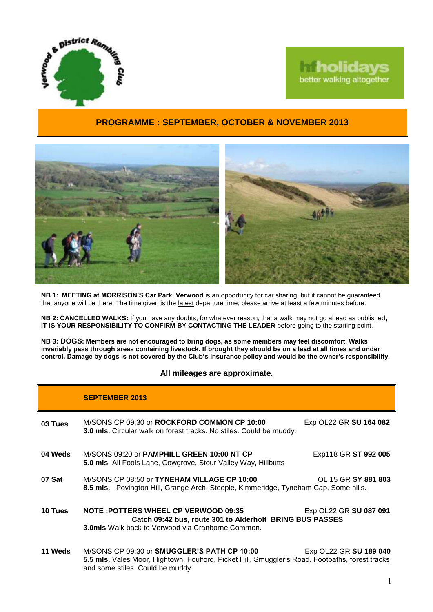



## **PROGRAMME : SEPTEMBER, OCTOBER & NOVEMBER 2013**



**NB 1: MEETING at MORRISON'S Car Park, Verwood** is an opportunity for car sharing, but it cannot be guaranteed that anyone will be there. The time given is the latest departure time; please arrive at least a few minutes before.

**NB 2: CANCELLED WALKS:** If you have any doubts, for whatever reason, that a walk may not go ahead as published**, IT IS YOUR RESPONSIBILITY TO CONFIRM BY CONTACTING THE LEADER** before going to the starting point.

**NB 3: DOGS: Members are not encouraged to bring dogs, as some members may feel discomfort. Walks invariably pass through areas containing livestock. If brought they should be on a lead at all times and under control. Damage by dogs is not covered by the Club's insurance policy and would be the owner's responsibility.**

## **All mileages are approximate.**

|         | <b>SEPTEMBER 2013</b>                                                                                                                                                              |                        |
|---------|------------------------------------------------------------------------------------------------------------------------------------------------------------------------------------|------------------------|
| 03 Tues | M/SONS CP 09:30 or ROCKFORD COMMON CP 10:00<br><b>3.0 mls.</b> Circular walk on forest tracks. No stiles. Could be muddy.                                                          | Exp OL22 GR SU 164 082 |
| 04 Weds | M/SONS 09:20 or PAMPHILL GREEN 10:00 NT CP<br>5.0 mls. All Fools Lane, Cowgrove, Stour Valley Way, Hillbutts                                                                       | Exp118 GR ST 992 005   |
| 07 Sat  | M/SONS CP 08:50 or TYNEHAM VILLAGE CP 10:00<br>8.5 mls. Povington Hill, Grange Arch, Steeple, Kimmeridge, Tyneham Cap. Some hills.                                                 | OL 15 GR SY 881 803    |
| 10 Tues | <b>NOTE: POTTERS WHEEL CP VERWOOD 09:35</b><br>Catch 09:42 bus, route 301 to Alderholt BRING BUS PASSES<br>3.0mls Walk back to Verwood via Cranborne Common.                       | Exp OL22 GR SU 087 091 |
| 11 Weds | M/SONS CP 09:30 or SMUGGLER'S PATH CP 10:00<br>5.5 mls. Vales Moor, Hightown, Foulford, Picket Hill, Smuggler's Road. Footpaths, forest tracks<br>and some stiles. Could be muddy. | Exp OL22 GR SU 189 040 |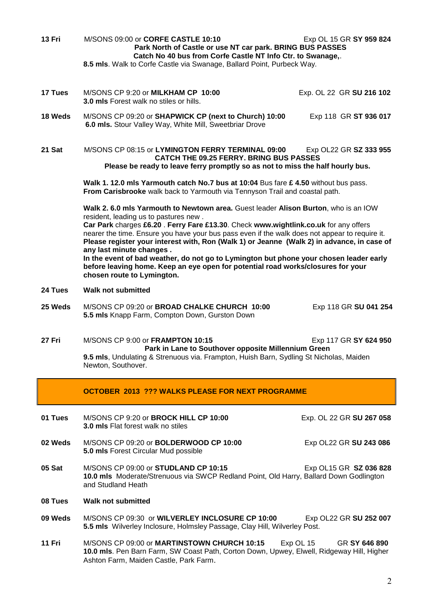**13 Fri** M/SONS 09:00 or **CORFE CASTLE 10:10** Exp OL 15 GR **SY 959 824 Park North of Castle or use NT car park. BRING BUS PASSES Catch No 40 bus from Corfe Castle NT Info Ctr. to Swanage,**.

**8.5 mls**. Walk to Corfe Castle via Swanage, Ballard Point, Purbeck Way.

- **17 Tues** M/SONS CP 9:20 or **MILKHAM CP 10:00** Exp. OL 22 GR **SU 216 102 3.0 mls** Forest walk no stiles or hills. **18 Weds** M/SONS CP 09:20 or **SHAPWICK CP (next to Church) 10:00** Exp 118 GR **ST 936 017 6.0 mls.** Stour Valley Way, White Mill, Sweetbriar Drove **21 Sat** M/SONS CP 08:15 or **LYMINGTON FERRY TERMINAL 09:00** Exp OL22 GR **SZ 333 955 CATCH THE 09.25 FERRY. BRING BUS PASSES Please be ready to leave ferry promptly so as not to miss the half hourly bus. Walk 1. 12.0 mls Yarmouth catch No.7 bus at 10:04** Bus fare **£ 4.50** without bus pass. **From Carisbrooke** walk back to Yarmouth via Tennyson Trail and coastal path. **Walk 2. 6.0 mls Yarmouth to Newtown area.** Guest leader **Alison Burton**, who is an IOW resident, leading us to pastures new . **Car Park** charges **£6.20** . **Ferry Fare £13.30**. Check **www.wightlink.co.uk** for any offers nearer the time. Ensure you have your bus pass even if the walk does not appear to require it. **Please register your interest with, Ron (Walk 1) or Jeanne (Walk 2) in advance, in case of any last minute changes . In the event of bad weather, do not go to Lymington but phone your chosen leader early before leaving home. Keep an eye open for potential road works/closures for your chosen route to Lymington. 24 Tues Walk not submitted 25 Weds** M/SONS CP 09:20 or **BROAD CHALKE CHURCH 10:00** Exp 118 GR **SU 041 254 5.5 mls** Knapp Farm, Compton Down, Gurston Down **27 Fri** M/SONS CP 9:00 or **FRAMPTON 10:15** Exp 117 GR **SY 624 950 Park in Lane to Southover opposite Millennium Green 9.5 mls**, Undulating & Strenuous via. Frampton, Huish Barn, Sydling St Nicholas, Maiden Newton, Southover. **OCTOBER 2013 ??? WALKS PLEASE FOR NEXT PROGRAMME 01 Tues** M/SONS CP 9:20 or **BROCK HILL CP 10:00** Exp. OL 22 GR **SU 267 058 3.0 mls** Flat forest walk no stiles **02 Weds** M/SONS CP 09:20 or **BOLDERWOOD CP 10:00** Exp OL22 GR **SU 243 086**
- **5.0 mls** Forest Circular Mud possible **05 Sat** M/SONS CP 09:00 or **STUDLAND CP 10:15** Exp OL15 GR **SZ 036 828 10.0 mls** Moderate/Strenuous via SWCP Redland Point, Old Harry, Ballard Down Godlington
- **08 Tues Walk not submitted**

and Studland Heath

- **09 Weds** M/SONS CP 09:30or **WILVERLEY INCLOSURE CP 10:00** Exp OL22 GR **SU 252 007 5.5 mls** Wilverley Inclosure, Holmsley Passage, Clay Hill, Wilverley Post.
- **11 Fri** M/SONS CP 09:00 or **MARTINSTOWN CHURCH 10:15** Exp OL 15 GR **SY 646 890 10.0 mls**. Pen Barn Farm, SW Coast Path, Corton Down, Upwey, Elwell, Ridgeway Hill, Higher Ashton Farm, Maiden Castle, Park Farm.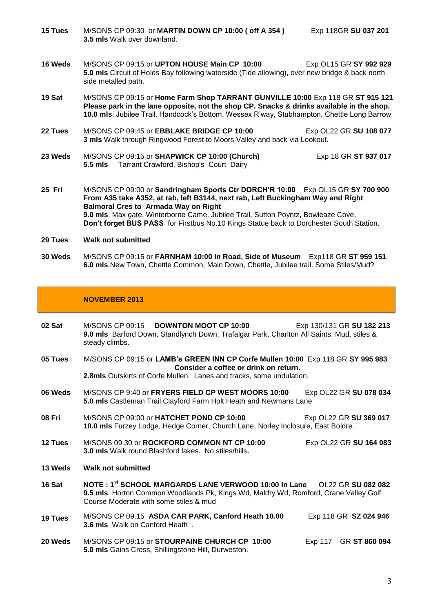**15 Tues** M/SONS CP 09:30 or **MARTIN DOWN CP 10:00 ( off A 354 )** Exp 118GR **SU 037 201 3.5 mls** Walk over downland.

- **16 Weds** M/SONS CP 09:15 or **UPTON HOUSE Main CP 10:00** Exp OL15 GR **SY 992 929 5.0 mls** Circuit of Holes Bay following waterside (Tide allowing), over new bridge & back north side metalled path.
- **19 Sat** M/SONS CP 09:15 or **Home Farm Shop TARRANT GUNVILLE 10:00** Exp 118 GR **ST 915 121 Please park in the lane opposite, not the shop CP. Snacks & drinks available in the shop. 10.0 mls**. Jubilee Trail, Handcock's Bottom, Wessex R'way, Stubhampton, Chettle Long Barrow
- **22 Tues** M/SONS CP 09:45 or **EBBLAKE BRIDGE CP 10:00** Exp OL22 GR **SU 108 077 3 mls** Walk through Ringwood Forest to Moors Valley and back via Lookout.
- **23 Weds** M/SONS CP 09:15 or **SHAPWICK CP 10:00 (Church)** Exp 18 GR **ST 937 017 5.5 mls** Tarrant Crawford, Bishop's Court Dairy
- **25 Fri** M/SONS CP 09:00 or **Sandringham Sports Ctr DORCH'R 10:00** Exp OL15 GR **SY 700 900 From A35 take A352, at rab, left B3144, next rab, Left Buckingham Way and Right Balmoral Cres to Armada Way on Right 9.0 mls**. Max gate, Winterborne Came, Jubilee Trail, Sutton Poyntz, Bowleaze Cove, **Don't forget BUS PASS** for Firstbus No.10 Kings Statue back to Dorchester South Station.
- **29 Tues Walk not submitted**
- **30 Weds** M/SONS CP 09:15 or **FARNHAM 10:00 In Road, Side of Museum** Exp118 GR **ST 959 151 6.0 mls** New Town, Chettle Common, Main Down, Chettle, Jubilee trail. Some Stiles/Mud?

## **NOVEMBER 2013**

**02 Sat** M/SONS CP 09:15 **DOWNTON MOOT CP 10:00** Exp 130/131 GR **SU 182 213 9.0 mls** Barford Down, Standlynch Down, Trafalgar Park, Charlton All Saints. Mud, stiles & steady climbs. **05 Tues** M/SONS CP 09:15 or **LAMB's GREEN INN CP Corfe Mullen 10:00** Exp 118 GR **SY 995 983 Consider a coffee or drink on return. 2.8mls** Outskirts of Corfe Mullen. Lanes and tracks, some undulation. **06 Weds** M/SONS CP 9:40 or **FRYERS FIELD CP WEST MOORS 10:00** Exp OL22 GR **SU 078 034 5.0 mls** Castleman Trail Clayford Farm Holt Heath and Newmans Lane **08 Fri** M/SONS CP 09:00 or **HATCHET POND CP 10:00** Exp OL22 GR **SU 369 017 10.0 mls** Furzey Lodge, Hedge Corner, Church Lane, Norley Inclosure, East Boldre. **12 Tues** M/SONS 09.30 or **ROCKFORD COMMON NT CP 10:00** Exp OL22 GR **SU 164 083 3.0 mls** Walk round Blashford lakes. No stiles/hills**. 13 Weds Walk not submitted 16 Sat NOTE : 1st SCHOOL MARGARDS LANE VERWOOD 10:00 In Lane** OL22 GR **SU 082 082 9.5 mls** Horton Common Woodlands Pk, Kings Wd, Maldry Wd, Romford, Crane Valley Golf Course Moderate with some stiles & mud **19 Tues** M/SONS CP 09.15 **ASDA CAR PARK, Canford Heath 10.00** Exp 118 GR **SZ 024 946 3.6 mls** Walk on Canford Heath . **20 Weds** M/SONS CP 09:15 or **STOURPAINE CHURCH CP 10:00** Exp 117 GR **ST 860 094 5.0 mls** Gains Cross, Shillingstone Hill, Durweston.